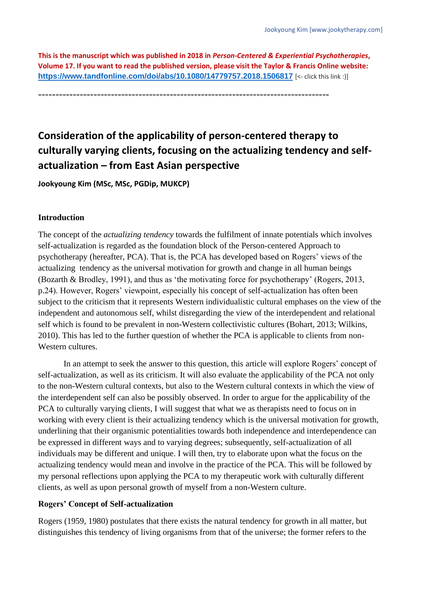**This is the manuscript which was published in 2018 in** *Person-Centered & Experiential Psychotherapies***, Volume 17. If you want to read the published version, please visit the Taylor & Francis Online website: <https://www.tandfonline.com/doi/abs/10.1080/14779757.2018.1506817>** [<- click this link :)]

------------------------------------------------------------------------------------

# **Consideration of the applicability of person-centered therapy to culturally varying clients, focusing on the actualizing tendency and selfactualization – from East Asian perspective**

**Jookyoung Kim (MSc, MSc, PGDip, MUKCP)**

## **Introduction**

The concept of the *actualizing tendency* towards the fulfilment of innate potentials which involves self-actualization is regarded as the foundation block of the Person-centered Approach to psychotherapy (hereafter, PCA). That is, the PCA has developed based on Rogers' views of the actualizing tendency as the universal motivation for growth and change in all human beings (Bozarth & Brodley, 1991), and thus as 'the motivating force for psychotherapy' (Rogers, 2013, p.24). However, Rogers' viewpoint, especially his concept of self-actualization has often been subject to the criticism that it represents Western individualistic cultural emphases on the view of the independent and autonomous self, whilst disregarding the view of the interdependent and relational self which is found to be prevalent in non-Western collectivistic cultures (Bohart, 2013; Wilkins, 2010). This has led to the further question of whether the PCA is applicable to clients from non-Western cultures.

In an attempt to seek the answer to this question, this article will explore Rogers' concept of self-actualization, as well as its criticism. It will also evaluate the applicability of the PCA not only to the non-Western cultural contexts, but also to the Western cultural contexts in which the view of the interdependent self can also be possibly observed. In order to argue for the applicability of the PCA to culturally varying clients, I will suggest that what we as therapists need to focus on in working with every client is their actualizing tendency which is the universal motivation for growth, underlining that their organismic potentialities towards both independence and interdependence can be expressed in different ways and to varying degrees; subsequently, self-actualization of all individuals may be different and unique. I will then, try to elaborate upon what the focus on the actualizing tendency would mean and involve in the practice of the PCA. This will be followed by my personal reflections upon applying the PCA to my therapeutic work with culturally different clients, as well as upon personal growth of myself from a non-Western culture.

## **Rogers' Concept of Self-actualization**

Rogers (1959, 1980) postulates that there exists the natural tendency for growth in all matter, but distinguishes this tendency of living organisms from that of the universe; the former refers to the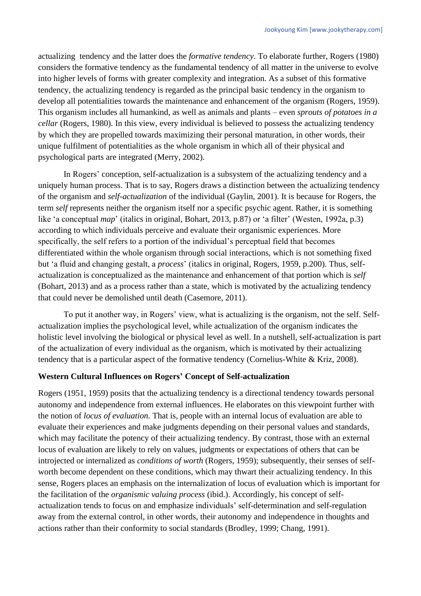actualizing tendency and the latter does the *formative tendency*. To elaborate further, Rogers (1980) considers the formative tendency as the fundamental tendency of all matter in the universe to evolve into higher levels of forms with greater complexity and integration. As a subset of this formative tendency, the actualizing tendency is regarded as the principal basic tendency in the organism to develop all potentialities towards the maintenance and enhancement of the organism (Rogers, 1959). This organism includes all humankind, as well as animals and plants – even *sprouts of potatoes in a cellar* (Rogers, 1980). In this view, every individual is believed to possess the actualizing tendency by which they are propelled towards maximizing their personal maturation, in other words, their unique fulfilment of potentialities as the whole organism in which all of their physical and psychological parts are integrated (Merry, 2002).

In Rogers' conception, self-actualization is a subsystem of the actualizing tendency and a uniquely human process. That is to say, Rogers draws a distinction between the actualizing tendency of the organism and *self-actualization* of the individual (Gaylin, 2001). It is because for Rogers, the term *self* represents neither the organism itself nor a specific psychic agent. Rather, it is something like 'a conceptual *map*' (italics in original, Bohart, 2013, p.87) or 'a filter' (Westen, 1992a, p.3) according to which individuals perceive and evaluate their organismic experiences. More specifically, the self refers to a portion of the individual's perceptual field that becomes differentiated within the whole organism through social interactions, which is not something fixed but 'a fluid and changing gestalt, a *process*' (italics in original, Rogers, 1959, p.200). Thus, selfactualization is conceptualized as the maintenance and enhancement of that portion which is *self* (Bohart, 2013) and as a process rather than a state, which is motivated by the actualizing tendency that could never be demolished until death (Casemore, 2011).

To put it another way, in Rogers' view, what is actualizing is the organism, not the self. Selfactualization implies the psychological level, while actualization of the organism indicates the holistic level involving the biological or physical level as well. In a nutshell, self-actualization is part of the actualization of every individual as the organism, which is motivated by their actualizing tendency that is a particular aspect of the formative tendency (Cornelius-White & Kriz, 2008).

## **Western Cultural Influences on Rogers' Concept of Self-actualization**

Rogers (1951, 1959) posits that the actualizing tendency is a directional tendency towards personal autonomy and independence from external influences. He elaborates on this viewpoint further with the notion of *locus of evaluation.* That is, people with an internal locus of evaluation are able to evaluate their experiences and make judgments depending on their personal values and standards, which may facilitate the potency of their actualizing tendency. By contrast, those with an external locus of evaluation are likely to rely on values, judgments or expectations of others that can be introjected or internalized as *conditions of worth* (Rogers, 1959); subsequently, their senses of selfworth become dependent on these conditions, which may thwart their actualizing tendency. In this sense, Rogers places an emphasis on the internalization of locus of evaluation which is important for the facilitation of the *organismic valuing process* (ibid.). Accordingly, his concept of selfactualization tends to focus on and emphasize individuals' self-determination and self-regulation away from the external control, in other words, their autonomy and independence in thoughts and actions rather than their conformity to social standards (Brodley, 1999; Chang, 1991).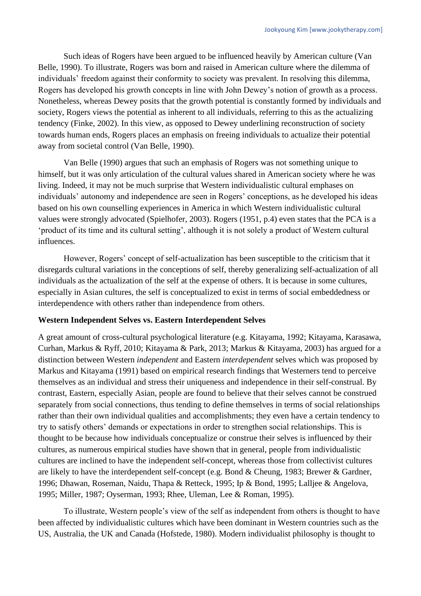Such ideas of Rogers have been argued to be influenced heavily by American culture (Van Belle, 1990). To illustrate, Rogers was born and raised in American culture where the dilemma of individuals' freedom against their conformity to society was prevalent. In resolving this dilemma, Rogers has developed his growth concepts in line with John Dewey's notion of growth as a process. Nonetheless, whereas Dewey posits that the growth potential is constantly formed by individuals and society, Rogers views the potential as inherent to all individuals, referring to this as the actualizing tendency (Finke, 2002). In this view, as opposed to Dewey underlining reconstruction of society towards human ends, Rogers places an emphasis on freeing individuals to actualize their potential away from societal control (Van Belle, 1990).

Van Belle (1990) argues that such an emphasis of Rogers was not something unique to himself, but it was only articulation of the cultural values shared in American society where he was living. Indeed, it may not be much surprise that Western individualistic cultural emphases on individuals' autonomy and independence are seen in Rogers' conceptions, as he developed his ideas based on his own counselling experiences in America in which Western individualistic cultural values were strongly advocated (Spielhofer, 2003). Rogers (1951, p.4) even states that the PCA is a 'product of its time and its cultural setting', although it is not solely a product of Western cultural influences.

However, Rogers' concept of self-actualization has been susceptible to the criticism that it disregards cultural variations in the conceptions of self, thereby generalizing self-actualization of all individuals as the actualization of the self at the expense of others. It is because in some cultures, especially in Asian cultures, the self is conceptualized to exist in terms of social embeddedness or interdependence with others rather than independence from others.

## **Western Independent Selves vs. Eastern Interdependent Selves**

A great amount of cross-cultural psychological literature (e.g. Kitayama, 1992; Kitayama, Karasawa, Curhan, Markus & Ryff, 2010; Kitayama & Park, 2013; Markus & Kitayama, 2003) has argued for a distinction between Western *independent* and Eastern *interdependent* selves which was proposed by Markus and Kitayama (1991) based on empirical research findings that Westerners tend to perceive themselves as an individual and stress their uniqueness and independence in their self-construal. By contrast, Eastern, especially Asian, people are found to believe that their selves cannot be construed separately from social connections, thus tending to define themselves in terms of social relationships rather than their own individual qualities and accomplishments; they even have a certain tendency to try to satisfy others' demands or expectations in order to strengthen social relationships. This is thought to be because how individuals conceptualize or construe their selves is influenced by their cultures, as numerous empirical studies have shown that in general, people from individualistic cultures are inclined to have the independent self-concept, whereas those from collectivist cultures are likely to have the interdependent self-concept (e.g. Bond & Cheung, 1983; Brewer & Gardner, 1996; Dhawan, Roseman, Naidu, Thapa & Retteck, 1995; Ip & Bond, 1995; Lalljee & Angelova, 1995; Miller, 1987; Oyserman, 1993; Rhee, Uleman, Lee & Roman, 1995).

To illustrate, Western people's view of the self as independent from others is thought to have been affected by individualistic cultures which have been dominant in Western countries such as the US, Australia, the UK and Canada (Hofstede, 1980). Modern individualist philosophy is thought to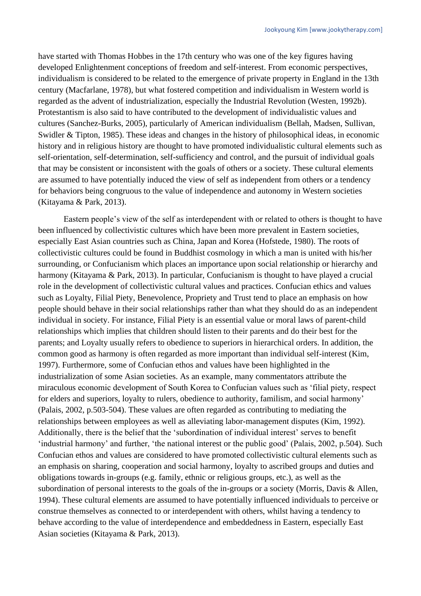have started with Thomas Hobbes in the 17th century who was one of the key figures having developed Enlightenment conceptions of freedom and self-interest. From economic perspectives, individualism is considered to be related to the emergence of private property in England in the 13th century (Macfarlane, 1978), but what fostered competition and individualism in Western world is regarded as the advent of industrialization, especially the Industrial Revolution (Westen, 1992b). Protestantism is also said to have contributed to the development of individualistic values and cultures (Sanchez-Burks, 2005), particularly of American individualism (Bellah, Madsen, Sullivan, Swidler & Tipton, 1985). These ideas and changes in the history of philosophical ideas, in economic history and in religious history are thought to have promoted individualistic cultural elements such as self-orientation, self-determination, self-sufficiency and control, and the pursuit of individual goals that may be consistent or inconsistent with the goals of others or a society. These cultural elements are assumed to have potentially induced the view of self as independent from others or a tendency for behaviors being congruous to the value of independence and autonomy in Western societies (Kitayama & Park, 2013).

Eastern people's view of the self as interdependent with or related to others is thought to have been influenced by collectivistic cultures which have been more prevalent in Eastern societies, especially East Asian countries such as China, Japan and Korea (Hofstede, 1980). The roots of collectivistic cultures could be found in Buddhist cosmology in which a man is united with his/her surrounding, or Confucianism which places an importance upon social relationship or hierarchy and harmony (Kitayama & Park, 2013). In particular, Confucianism is thought to have played a crucial role in the development of collectivistic cultural values and practices. Confucian ethics and values such as Loyalty, Filial Piety, Benevolence, Propriety and Trust tend to place an emphasis on how people should behave in their social relationships rather than what they should do as an independent individual in society. For instance, Filial Piety is an essential value or moral laws of parent-child relationships which implies that children should listen to their parents and do their best for the parents; and Loyalty usually refers to obedience to superiors in hierarchical orders. In addition, the common good as harmony is often regarded as more important than individual self-interest (Kim, 1997). Furthermore, some of Confucian ethos and values have been highlighted in the industrialization of some Asian societies. As an example, many commentators attribute the miraculous economic development of South Korea to Confucian values such as 'filial piety, respect for elders and superiors, loyalty to rulers, obedience to authority, familism, and social harmony' (Palais, 2002, p.503-504). These values are often regarded as contributing to mediating the relationships between employees as well as alleviating labor-management disputes (Kim, 1992). Additionally, there is the belief that the 'subordination of individual interest' serves to benefit 'industrial harmony' and further, 'the national interest or the public good' (Palais, 2002, p.504). Such Confucian ethos and values are considered to have promoted collectivistic cultural elements such as an emphasis on sharing, cooperation and social harmony, loyalty to ascribed groups and duties and obligations towards in-groups (e.g. family, ethnic or religious groups, etc.), as well as the subordination of personal interests to the goals of the in-groups or a society (Morris, Davis & Allen, 1994). These cultural elements are assumed to have potentially influenced individuals to perceive or construe themselves as connected to or interdependent with others, whilst having a tendency to behave according to the value of interdependence and embeddedness in Eastern, especially East Asian societies (Kitayama & Park, 2013).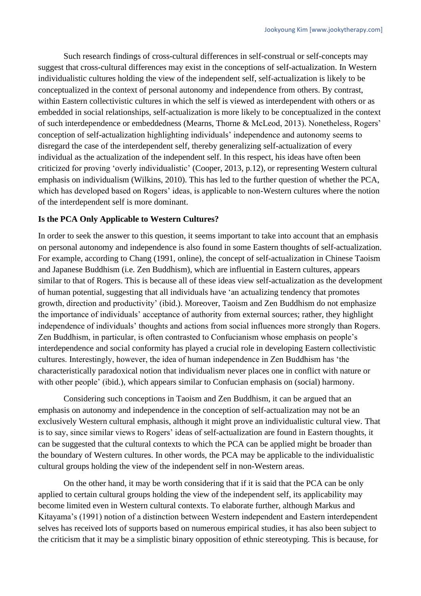Such research findings of cross-cultural differences in self-construal or self-concepts may suggest that cross-cultural differences may exist in the conceptions of self-actualization. In Western individualistic cultures holding the view of the independent self, self-actualization is likely to be conceptualized in the context of personal autonomy and independence from others. By contrast, within Eastern collectivistic cultures in which the self is viewed as interdependent with others or as embedded in social relationships, self-actualization is more likely to be conceptualized in the context of such interdependence or embeddedness (Mearns, Thorne & McLeod, 2013). Nonetheless, Rogers' conception of self-actualization highlighting individuals' independence and autonomy seems to disregard the case of the interdependent self, thereby generalizing self-actualization of every individual as the actualization of the independent self. In this respect, his ideas have often been criticized for proving 'overly individualistic' (Cooper, 2013, p.12), or representing Western cultural emphasis on individualism (Wilkins, 2010). This has led to the further question of whether the PCA, which has developed based on Rogers' ideas, is applicable to non-Western cultures where the notion of the interdependent self is more dominant.

## **Is the PCA Only Applicable to Western Cultures?**

In order to seek the answer to this question, it seems important to take into account that an emphasis on personal autonomy and independence is also found in some Eastern thoughts of self-actualization. For example, according to Chang (1991, online), the concept of self-actualization in Chinese Taoism and Japanese Buddhism (i.e. Zen Buddhism), which are influential in Eastern cultures, appears similar to that of Rogers. This is because all of these ideas view self-actualization as the development of human potential, suggesting that all individuals have 'an actualizing tendency that promotes growth, direction and productivity' (ibid.). Moreover, Taoism and Zen Buddhism do not emphasize the importance of individuals' acceptance of authority from external sources; rather, they highlight independence of individuals' thoughts and actions from social influences more strongly than Rogers. Zen Buddhism, in particular, is often contrasted to Confucianism whose emphasis on people's interdependence and social conformity has played a crucial role in developing Eastern collectivistic cultures. Interestingly, however, the idea of human independence in Zen Buddhism has 'the characteristically paradoxical notion that individualism never places one in conflict with nature or with other people' (ibid.), which appears similar to Confucian emphasis on (social) harmony.

Considering such conceptions in Taoism and Zen Buddhism, it can be argued that an emphasis on autonomy and independence in the conception of self-actualization may not be an exclusively Western cultural emphasis, although it might prove an individualistic cultural view. That is to say, since similar views to Rogers' ideas of self-actualization are found in Eastern thoughts, it can be suggested that the cultural contexts to which the PCA can be applied might be broader than the boundary of Western cultures. In other words, the PCA may be applicable to the individualistic cultural groups holding the view of the independent self in non-Western areas.

On the other hand, it may be worth considering that if it is said that the PCA can be only applied to certain cultural groups holding the view of the independent self, its applicability may become limited even in Western cultural contexts. To elaborate further, although Markus and Kitayama's (1991) notion of a distinction between Western independent and Eastern interdependent selves has received lots of supports based on numerous empirical studies, it has also been subject to the criticism that it may be a simplistic binary opposition of ethnic stereotyping. This is because, for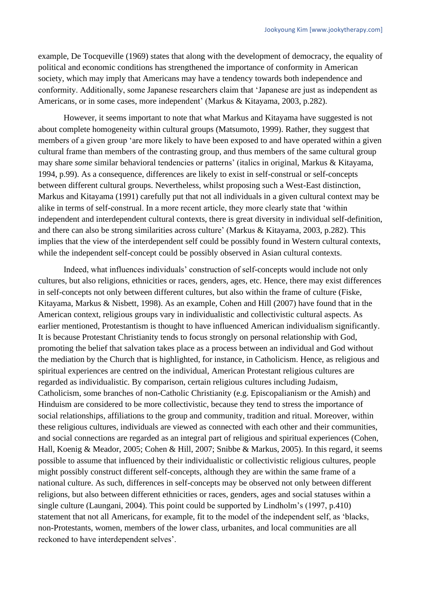example, De Tocqueville (1969) states that along with the development of democracy, the equality of political and economic conditions has strengthened the importance of conformity in American society, which may imply that Americans may have a tendency towards both independence and conformity. Additionally, some Japanese researchers claim that 'Japanese are just as independent as Americans, or in some cases, more independent' (Markus & Kitayama, 2003, p.282).

However, it seems important to note that what Markus and Kitayama have suggested is not about complete homogeneity within cultural groups (Matsumoto, 1999). Rather, they suggest that members of a given group 'are more likely to have been exposed to and have operated within a given cultural frame than members of the contrasting group, and thus members of the same cultural group may share *some* similar behavioral tendencies or patterns' (italics in original, Markus & Kitayama, 1994, p.99). As a consequence, differences are likely to exist in self-construal or self-concepts between different cultural groups. Nevertheless, whilst proposing such a West-East distinction, Markus and Kitayama (1991) carefully put that not all individuals in a given cultural context may be alike in terms of self-construal. In a more recent article, they more clearly state that 'within independent and interdependent cultural contexts, there is great diversity in individual self-definition, and there can also be strong similarities across culture' (Markus & Kitayama, 2003, p.282). This implies that the view of the interdependent self could be possibly found in Western cultural contexts, while the independent self-concept could be possibly observed in Asian cultural contexts.

Indeed, what influences individuals' construction of self-concepts would include not only cultures, but also religions, ethnicities or races, genders, ages, etc. Hence, there may exist differences in self-concepts not only between different cultures, but also within the frame of culture (Fiske, Kitayama, Markus & Nisbett, 1998). As an example, Cohen and Hill (2007) have found that in the American context, religious groups vary in individualistic and collectivistic cultural aspects. As earlier mentioned, Protestantism is thought to have influenced American individualism significantly. It is because Protestant Christianity tends to focus strongly on personal relationship with God, promoting the belief that salvation takes place as a process between an individual and God without the mediation by the Church that is highlighted, for instance, in Catholicism. Hence, as religious and spiritual experiences are centred on the individual, American Protestant religious cultures are regarded as individualistic. By comparison, certain religious cultures including Judaism, Catholicism, some branches of non-Catholic Christianity (e.g. Episcopalianism or the Amish) and Hinduism are considered to be more collectivistic, because they tend to stress the importance of social relationships, affiliations to the group and community, tradition and ritual. Moreover, within these religious cultures, individuals are viewed as connected with each other and their communities, and social connections are regarded as an integral part of religious and spiritual experiences (Cohen, Hall, Koenig & Meador, 2005; Cohen & Hill, 2007; Snibbe & Markus, 2005). In this regard, it seems possible to assume that influenced by their individualistic or collectivistic religious cultures, people might possibly construct different self-concepts, although they are within the same frame of a national culture. As such, differences in self-concepts may be observed not only between different religions, but also between different ethnicities or races, genders, ages and social statuses within a single culture (Laungani, 2004). This point could be supported by Lindholm's (1997, p.410) statement that not all Americans, for example, fit to the model of the independent self, as 'blacks, non-Protestants, women, members of the lower class, urbanites, and local communities are all reckoned to have interdependent selves'.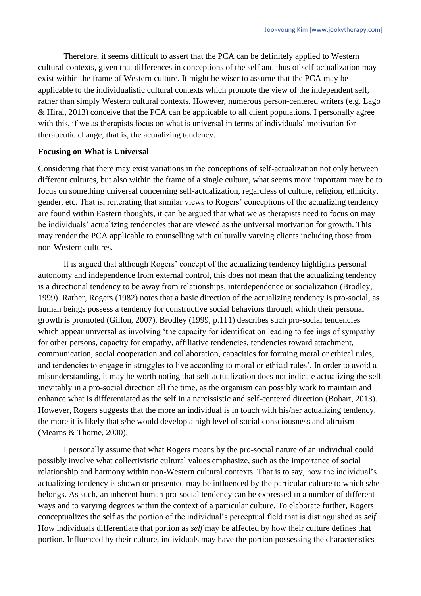Therefore, it seems difficult to assert that the PCA can be definitely applied to Western cultural contexts, given that differences in conceptions of the self and thus of self-actualization may exist within the frame of Western culture. It might be wiser to assume that the PCA may be applicable to the individualistic cultural contexts which promote the view of the independent self, rather than simply Western cultural contexts. However, numerous person-centered writers (e.g. Lago & Hirai, 2013) conceive that the PCA can be applicable to all client populations. I personally agree with this, if we as therapists focus on what is universal in terms of individuals' motivation for therapeutic change, that is, the actualizing tendency.

#### **Focusing on What is Universal**

Considering that there may exist variations in the conceptions of self-actualization not only between different cultures, but also within the frame of a single culture, what seems more important may be to focus on something universal concerning self-actualization, regardless of culture, religion, ethnicity, gender, etc. That is, reiterating that similar views to Rogers' conceptions of the actualizing tendency are found within Eastern thoughts, it can be argued that what we as therapists need to focus on may be individuals' actualizing tendencies that are viewed as the universal motivation for growth. This may render the PCA applicable to counselling with culturally varying clients including those from non-Western cultures.

It is argued that although Rogers' concept of the actualizing tendency highlights personal autonomy and independence from external control, this does not mean that the actualizing tendency is a directional tendency to be away from relationships, interdependence or socialization (Brodley, 1999). Rather, Rogers (1982) notes that a basic direction of the actualizing tendency is pro-social, as human beings possess a tendency for constructive social behaviors through which their personal growth is promoted (Gillon, 2007). Brodley (1999, p.111) describes such pro-social tendencies which appear universal as involving 'the capacity for identification leading to feelings of sympathy for other persons, capacity for empathy, affiliative tendencies, tendencies toward attachment, communication, social cooperation and collaboration, capacities for forming moral or ethical rules, and tendencies to engage in struggles to live according to moral or ethical rules'. In order to avoid a misunderstanding, it may be worth noting that self-actualization does not indicate actualizing the self inevitably in a pro-social direction all the time, as the organism can possibly work to maintain and enhance what is differentiated as the self in a narcissistic and self-centered direction (Bohart, 2013). However, Rogers suggests that the more an individual is in touch with his/her actualizing tendency, the more it is likely that s/he would develop a high level of social consciousness and altruism (Mearns & Thorne, 2000).

I personally assume that what Rogers means by the pro-social nature of an individual could possibly involve what collectivistic cultural values emphasize, such as the importance of social relationship and harmony within non-Western cultural contexts. That is to say, how the individual's actualizing tendency is shown or presented may be influenced by the particular culture to which s/he belongs. As such, an inherent human pro-social tendency can be expressed in a number of different ways and to varying degrees within the context of a particular culture. To elaborate further, Rogers conceptualizes the self as the portion of the individual's perceptual field that is distinguished as *self*. How individuals differentiate that portion as *self* may be affected by how their culture defines that portion. Influenced by their culture, individuals may have the portion possessing the characteristics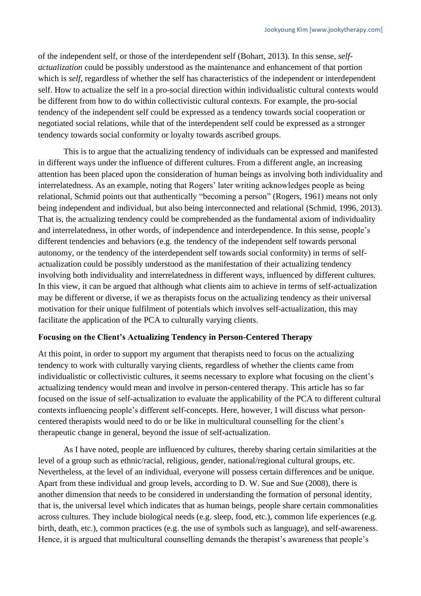of the independent self, or those of the interdependent self (Bohart, 2013). In this sense, *selfactualization* could be possibly understood as the maintenance and enhancement of that portion which is *self*, regardless of whether the self has characteristics of the independent or interdependent self. How to actualize the self in a pro-social direction within individualistic cultural contexts would be different from how to do within collectivistic cultural contexts. For example, the pro-social tendency of the independent self could be expressed as a tendency towards social cooperation or negotiated social relations, while that of the interdependent self could be expressed as a stronger tendency towards social conformity or loyalty towards ascribed groups.

This is to argue that the actualizing tendency of individuals can be expressed and manifested in different ways under the influence of different cultures. From a different angle, an increasing attention has been placed upon the consideration of human beings as involving both individuality and interrelatedness. As an example, noting that Rogers' later writing acknowledges people as being relational, Schmid points out that authentically "becoming a person" (Rogers, 1961) means not only being independent and individual, but also being interconnected and relational (Schmid, 1996, 2013). That is, the actualizing tendency could be comprehended as the fundamental axiom of individuality and interrelatedness, in other words, of independence and interdependence. In this sense, people's different tendencies and behaviors (e.g. the tendency of the independent self towards personal autonomy, or the tendency of the interdependent self towards social conformity) in terms of selfactualization could be possibly understood as the manifestation of their actualizing tendency involving both individuality and interrelatedness in different ways, influenced by different cultures. In this view, it can be argued that although what clients aim to achieve in terms of self-actualization may be different or diverse, if we as therapists focus on the actualizing tendency as their universal motivation for their unique fulfilment of potentials which involves self-actualization, this may facilitate the application of the PCA to culturally varying clients.

# **Focusing on the Client's Actualizing Tendency in Person-Centered Therapy**

At this point, in order to support my argument that therapists need to focus on the actualizing tendency to work with culturally varying clients, regardless of whether the clients came from individualistic or collectivistic cultures, it seems necessary to explore what focusing on the client's actualizing tendency would mean and involve in person-centered therapy. This article has so far focused on the issue of self-actualization to evaluate the applicability of the PCA to different cultural contexts influencing people's different self-concepts. Here, however, I will discuss what personcentered therapists would need to do or be like in multicultural counselling for the client's therapeutic change in general, beyond the issue of self-actualization.

As I have noted, people are influenced by cultures, thereby sharing certain similarities at the level of a group such as ethnic/racial, religious, gender, national/regional cultural groups, etc. Nevertheless, at the level of an individual, everyone will possess certain differences and be unique. Apart from these individual and group levels, according to D. W. Sue and Sue (2008), there is another dimension that needs to be considered in understanding the formation of personal identity, that is, the universal level which indicates that as human beings, people share certain commonalities across cultures. They include biological needs (e.g. sleep, food, etc.), common life experiences (e.g. birth, death, etc.), common practices (e.g. the use of symbols such as language), and self-awareness. Hence, it is argued that multicultural counselling demands the therapist's awareness that people's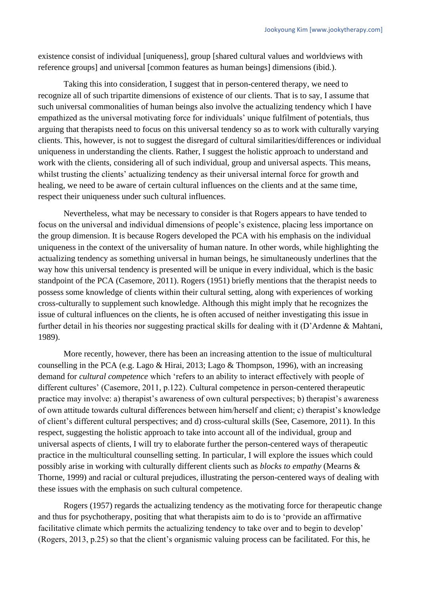existence consist of individual [uniqueness], group [shared cultural values and worldviews with reference groups] and universal [common features as human beings] dimensions (ibid*.*).

Taking this into consideration, I suggest that in person-centered therapy, we need to recognize all of such tripartite dimensions of existence of our clients. That is to say, I assume that such universal commonalities of human beings also involve the actualizing tendency which I have empathized as the universal motivating force for individuals' unique fulfilment of potentials, thus arguing that therapists need to focus on this universal tendency so as to work with culturally varying clients. This, however, is not to suggest the disregard of cultural similarities/differences or individual uniqueness in understanding the clients. Rather, I suggest the holistic approach to understand and work with the clients, considering all of such individual, group and universal aspects. This means, whilst trusting the clients' actualizing tendency as their universal internal force for growth and healing, we need to be aware of certain cultural influences on the clients and at the same time, respect their uniqueness under such cultural influences.

Nevertheless, what may be necessary to consider is that Rogers appears to have tended to focus on the universal and individual dimensions of people's existence, placing less importance on the group dimension. It is because Rogers developed the PCA with his emphasis on the individual uniqueness in the context of the universality of human nature. In other words, while highlighting the actualizing tendency as something universal in human beings, he simultaneously underlines that the way how this universal tendency is presented will be unique in every individual, which is the basic standpoint of the PCA (Casemore, 2011). Rogers (1951) briefly mentions that the therapist needs to possess some knowledge of clients within their cultural setting, along with experiences of working cross-culturally to supplement such knowledge. Although this might imply that he recognizes the issue of cultural influences on the clients, he is often accused of neither investigating this issue in further detail in his theories nor suggesting practical skills for dealing with it (D'Ardenne & Mahtani, 1989).

More recently, however, there has been an increasing attention to the issue of multicultural counselling in the PCA (e.g. Lago & Hirai, 2013; Lago & Thompson, 1996), with an increasing demand for *cultural competence* which 'refers to an ability to interact effectively with people of different cultures' (Casemore, 2011, p.122). Cultural competence in person-centered therapeutic practice may involve: a) therapist's awareness of own cultural perspectives; b) therapist's awareness of own attitude towards cultural differences between him/herself and client; c) therapist's knowledge of client's different cultural perspectives; and d) cross-cultural skills (See, Casemore, 2011). In this respect, suggesting the holistic approach to take into account all of the individual, group and universal aspects of clients, I will try to elaborate further the person-centered ways of therapeutic practice in the multicultural counselling setting. In particular, I will explore the issues which could possibly arise in working with culturally different clients such as *blocks to empathy* (Mearns & Thorne, 1999) and racial or cultural prejudices, illustrating the person-centered ways of dealing with these issues with the emphasis on such cultural competence.

Rogers (1957) regards the actualizing tendency as the motivating force for therapeutic change and thus for psychotherapy, positing that what therapists aim to do is to 'provide an affirmative facilitative climate which permits the actualizing tendency to take over and to begin to develop' (Rogers, 2013, p.25) so that the client's organismic valuing process can be facilitated. For this, he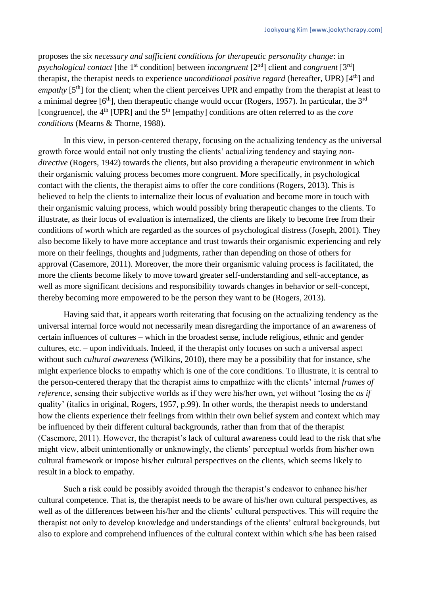proposes the *six necessary and sufficient conditions for therapeutic personality change*: in *psychological contact* [the 1<sup>st</sup> condition] between *incongruent* [2<sup>nd</sup>] client and *congruent* [3<sup>rd</sup>] therapist, the therapist needs to experience *unconditional positive regard* (hereafter, UPR) [4<sup>th</sup>] and *empathy* [5<sup>th</sup>] for the client; when the client perceives UPR and empathy from the therapist at least to a minimal degree  $[6<sup>th</sup>]$ , then therapeutic change would occur (Rogers, 1957). In particular, the 3<sup>rd</sup> [congruence], the 4<sup>th</sup> [UPR] and the 5<sup>th</sup> [empathy] conditions are often referred to as the *core conditions* (Mearns & Thorne, 1988).

In this view, in person-centered therapy, focusing on the actualizing tendency as the universal growth force would entail not only trusting the clients' actualizing tendency and staying *nondirective* (Rogers, 1942) towards the clients, but also providing a therapeutic environment in which their organismic valuing process becomes more congruent. More specifically, in psychological contact with the clients, the therapist aims to offer the core conditions (Rogers, 2013). This is believed to help the clients to internalize their locus of evaluation and become more in touch with their organismic valuing process, which would possibly bring therapeutic changes to the clients. To illustrate, as their locus of evaluation is internalized, the clients are likely to become free from their conditions of worth which are regarded as the sources of psychological distress (Joseph, 2001). They also become likely to have more acceptance and trust towards their organismic experiencing and rely more on their feelings, thoughts and judgments, rather than depending on those of others for approval (Casemore, 2011). Moreover, the more their organismic valuing process is facilitated, the more the clients become likely to move toward greater self-understanding and self-acceptance, as well as more significant decisions and responsibility towards changes in behavior or self-concept, thereby becoming more empowered to be the person they want to be (Rogers, 2013).

Having said that, it appears worth reiterating that focusing on the actualizing tendency as the universal internal force would not necessarily mean disregarding the importance of an awareness of certain influences of cultures – which in the broadest sense, include religious, ethnic and gender cultures, etc. – upon individuals. Indeed, if the therapist only focuses on such a universal aspect without such *cultural awareness* (Wilkins, 2010), there may be a possibility that for instance, s/he might experience blocks to empathy which is one of the core conditions. To illustrate, it is central to the person-centered therapy that the therapist aims to empathize with the clients' internal *frames of reference*, sensing their subjective worlds as if they were his/her own, yet without 'losing the *as if* quality' (italics in original, Rogers, 1957, p.99). In other words, the therapist needs to understand how the clients experience their feelings from within their own belief system and context which may be influenced by their different cultural backgrounds, rather than from that of the therapist (Casemore, 2011). However, the therapist's lack of cultural awareness could lead to the risk that s/he might view, albeit unintentionally or unknowingly, the clients' perceptual worlds from his/her own cultural framework or impose his/her cultural perspectives on the clients, which seems likely to result in a block to empathy.

Such a risk could be possibly avoided through the therapist's endeavor to enhance his/her cultural competence. That is, the therapist needs to be aware of his/her own cultural perspectives, as well as of the differences between his/her and the clients' cultural perspectives. This will require the therapist not only to develop knowledge and understandings of the clients' cultural backgrounds, but also to explore and comprehend influences of the cultural context within which s/he has been raised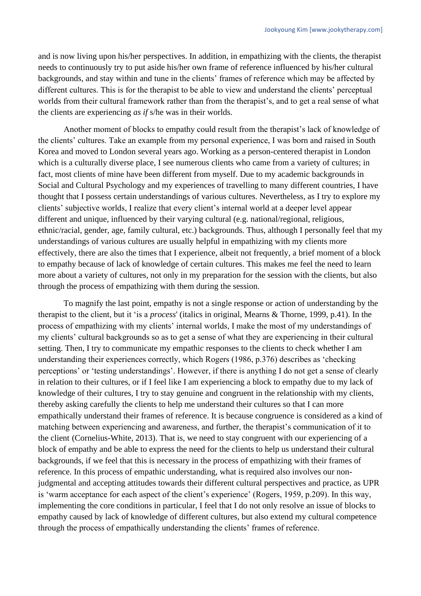and is now living upon his/her perspectives. In addition, in empathizing with the clients, the therapist needs to continuously try to put aside his/her own frame of reference influenced by his/her cultural backgrounds, and stay within and tune in the clients' frames of reference which may be affected by different cultures. This is for the therapist to be able to view and understand the clients' perceptual worlds from their cultural framework rather than from the therapist's, and to get a real sense of what the clients are experiencing *as if* s/he was in their worlds.

Another moment of blocks to empathy could result from the therapist's lack of knowledge of the clients' cultures. Take an example from my personal experience, I was born and raised in South Korea and moved to London several years ago. Working as a person-centered therapist in London which is a culturally diverse place, I see numerous clients who came from a variety of cultures; in fact, most clients of mine have been different from myself. Due to my academic backgrounds in Social and Cultural Psychology and my experiences of travelling to many different countries, I have thought that I possess certain understandings of various cultures. Nevertheless, as I try to explore my clients' subjective worlds, I realize that every client's internal world at a deeper level appear different and unique, influenced by their varying cultural (e.g. national/regional, religious, ethnic/racial, gender, age, family cultural, etc.) backgrounds. Thus, although I personally feel that my understandings of various cultures are usually helpful in empathizing with my clients more effectively, there are also the times that I experience, albeit not frequently, a brief moment of a block to empathy because of lack of knowledge of certain cultures. This makes me feel the need to learn more about a variety of cultures, not only in my preparation for the session with the clients, but also through the process of empathizing with them during the session.

To magnify the last point, empathy is not a single response or action of understanding by the therapist to the client, but it 'is a *process*' (italics in original, Mearns & Thorne, 1999, p.41). In the process of empathizing with my clients' internal worlds, I make the most of my understandings of my clients' cultural backgrounds so as to get a sense of what they are experiencing in their cultural setting. Then, I try to communicate my empathic responses to the clients to check whether I am understanding their experiences correctly, which Rogers (1986, p.376) describes as 'checking perceptions' or 'testing understandings'. However, if there is anything I do not get a sense of clearly in relation to their cultures, or if I feel like I am experiencing a block to empathy due to my lack of knowledge of their cultures, I try to stay genuine and congruent in the relationship with my clients, thereby asking carefully the clients to help me understand their cultures so that I can more empathically understand their frames of reference. It is because congruence is considered as a kind of matching between experiencing and awareness, and further, the therapist's communication of it to the client (Cornelius-White, 2013). That is, we need to stay congruent with our experiencing of a block of empathy and be able to express the need for the clients to help us understand their cultural backgrounds, if we feel that this is necessary in the process of empathizing with their frames of reference. In this process of empathic understanding, what is required also involves our nonjudgmental and accepting attitudes towards their different cultural perspectives and practice, as UPR is 'warm acceptance for each aspect of the client's experience' (Rogers, 1959, p.209). In this way, implementing the core conditions in particular, I feel that I do not only resolve an issue of blocks to empathy caused by lack of knowledge of different cultures, but also extend my cultural competence through the process of empathically understanding the clients' frames of reference.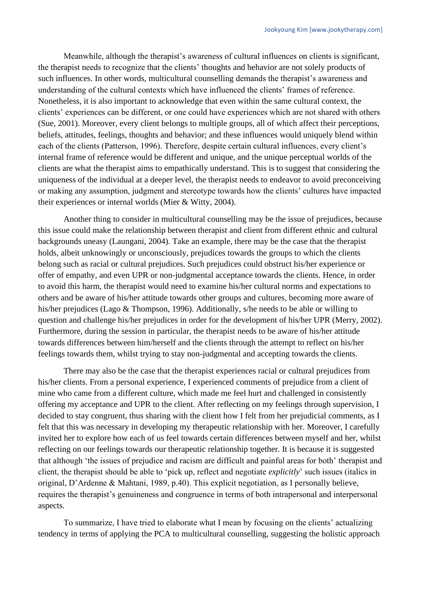Meanwhile, although the therapist's awareness of cultural influences on clients is significant, the therapist needs to recognize that the clients' thoughts and behavior are not solely products of such influences. In other words, multicultural counselling demands the therapist's awareness and understanding of the cultural contexts which have influenced the clients' frames of reference. Nonetheless, it is also important to acknowledge that even within the same cultural context, the clients' experiences can be different, or one could have experiences which are not shared with others (Sue, 2001). Moreover, every client belongs to multiple groups, all of which affect their perceptions, beliefs, attitudes, feelings, thoughts and behavior; and these influences would uniquely blend within each of the clients (Patterson, 1996). Therefore, despite certain cultural influences, every client's internal frame of reference would be different and unique, and the unique perceptual worlds of the clients are what the therapist aims to empathically understand. This is to suggest that considering the uniqueness of the individual at a deeper level, the therapist needs to endeavor to avoid preconceiving or making any assumption, judgment and stereotype towards how the clients' cultures have impacted their experiences or internal worlds (Mier & Witty, 2004).

Another thing to consider in multicultural counselling may be the issue of prejudices, because this issue could make the relationship between therapist and client from different ethnic and cultural backgrounds uneasy (Laungani, 2004). Take an example, there may be the case that the therapist holds, albeit unknowingly or unconsciously, prejudices towards the groups to which the clients belong such as racial or cultural prejudices. Such prejudices could obstruct his/her experience or offer of empathy, and even UPR or non-judgmental acceptance towards the clients. Hence, in order to avoid this harm, the therapist would need to examine his/her cultural norms and expectations to others and be aware of his/her attitude towards other groups and cultures, becoming more aware of his/her prejudices (Lago & Thompson, 1996). Additionally, s/he needs to be able or willing to question and challenge his/her prejudices in order for the development of his/her UPR (Merry, 2002). Furthermore, during the session in particular, the therapist needs to be aware of his/her attitude towards differences between him/herself and the clients through the attempt to reflect on his/her feelings towards them, whilst trying to stay non-judgmental and accepting towards the clients.

There may also be the case that the therapist experiences racial or cultural prejudices from his/her clients. From a personal experience, I experienced comments of prejudice from a client of mine who came from a different culture, which made me feel hurt and challenged in consistently offering my acceptance and UPR to the client. After reflecting on my feelings through supervision, I decided to stay congruent, thus sharing with the client how I felt from her prejudicial comments, as I felt that this was necessary in developing my therapeutic relationship with her. Moreover, I carefully invited her to explore how each of us feel towards certain differences between myself and her, whilst reflecting on our feelings towards our therapeutic relationship together. It is because it is suggested that although 'the issues of prejudice and racism are difficult and painful areas for both' therapist and client, the therapist should be able to 'pick up, reflect and negotiate *explicitly*' such issues (italics in original, D'Ardenne & Mahtani, 1989, p.40). This explicit negotiation, as I personally believe, requires the therapist's genuineness and congruence in terms of both intrapersonal and interpersonal aspects.

To summarize, I have tried to elaborate what I mean by focusing on the clients' actualizing tendency in terms of applying the PCA to multicultural counselling, suggesting the holistic approach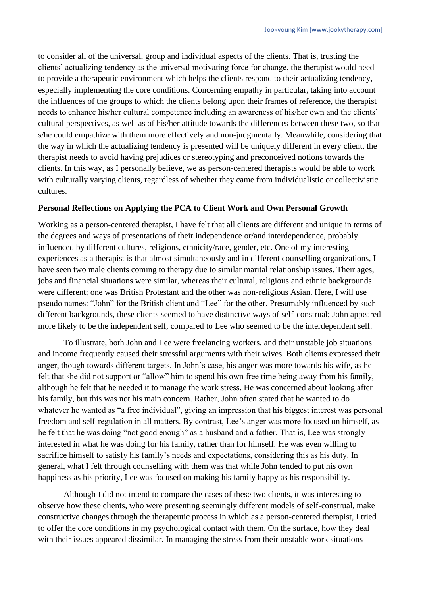to consider all of the universal, group and individual aspects of the clients. That is, trusting the clients' actualizing tendency as the universal motivating force for change, the therapist would need to provide a therapeutic environment which helps the clients respond to their actualizing tendency, especially implementing the core conditions. Concerning empathy in particular, taking into account the influences of the groups to which the clients belong upon their frames of reference, the therapist needs to enhance his/her cultural competence including an awareness of his/her own and the clients' cultural perspectives, as well as of his/her attitude towards the differences between these two, so that s/he could empathize with them more effectively and non-judgmentally. Meanwhile, considering that the way in which the actualizing tendency is presented will be uniquely different in every client, the therapist needs to avoid having prejudices or stereotyping and preconceived notions towards the clients. In this way, as I personally believe, we as person-centered therapists would be able to work with culturally varying clients, regardless of whether they came from individualistic or collectivistic cultures.

#### **Personal Reflections on Applying the PCA to Client Work and Own Personal Growth**

Working as a person-centered therapist, I have felt that all clients are different and unique in terms of the degrees and ways of presentations of their independence or/and interdependence, probably influenced by different cultures, religions, ethnicity/race, gender, etc. One of my interesting experiences as a therapist is that almost simultaneously and in different counselling organizations, I have seen two male clients coming to therapy due to similar marital relationship issues. Their ages, jobs and financial situations were similar, whereas their cultural, religious and ethnic backgrounds were different; one was British Protestant and the other was non-religious Asian. Here, I will use pseudo names: "John" for the British client and "Lee" for the other. Presumably influenced by such different backgrounds, these clients seemed to have distinctive ways of self-construal; John appeared more likely to be the independent self, compared to Lee who seemed to be the interdependent self.

To illustrate, both John and Lee were freelancing workers, and their unstable job situations and income frequently caused their stressful arguments with their wives. Both clients expressed their anger, though towards different targets. In John's case, his anger was more towards his wife, as he felt that she did not support or "allow" him to spend his own free time being away from his family, although he felt that he needed it to manage the work stress. He was concerned about looking after his family, but this was not his main concern. Rather, John often stated that he wanted to do whatever he wanted as "a free individual", giving an impression that his biggest interest was personal freedom and self-regulation in all matters. By contrast, Lee's anger was more focused on himself, as he felt that he was doing "not good enough" as a husband and a father. That is, Lee was strongly interested in what he was doing for his family, rather than for himself. He was even willing to sacrifice himself to satisfy his family's needs and expectations, considering this as his duty. In general, what I felt through counselling with them was that while John tended to put his own happiness as his priority, Lee was focused on making his family happy as his responsibility.

Although I did not intend to compare the cases of these two clients, it was interesting to observe how these clients, who were presenting seemingly different models of self-construal, make constructive changes through the therapeutic process in which as a person-centered therapist, I tried to offer the core conditions in my psychological contact with them. On the surface, how they deal with their issues appeared dissimilar. In managing the stress from their unstable work situations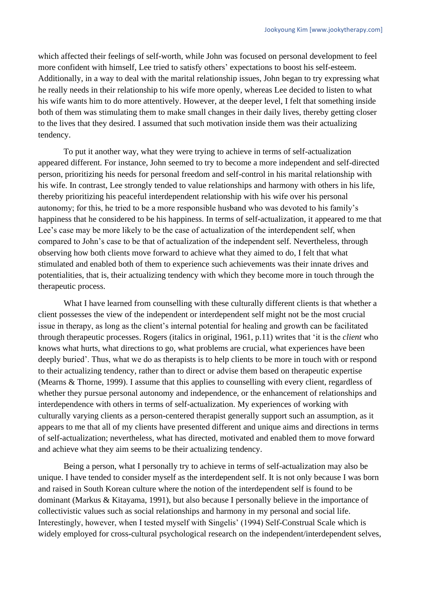which affected their feelings of self-worth, while John was focused on personal development to feel more confident with himself, Lee tried to satisfy others' expectations to boost his self-esteem. Additionally, in a way to deal with the marital relationship issues, John began to try expressing what he really needs in their relationship to his wife more openly, whereas Lee decided to listen to what his wife wants him to do more attentively. However, at the deeper level, I felt that something inside both of them was stimulating them to make small changes in their daily lives, thereby getting closer to the lives that they desired. I assumed that such motivation inside them was their actualizing tendency.

To put it another way, what they were trying to achieve in terms of self-actualization appeared different. For instance, John seemed to try to become a more independent and self-directed person, prioritizing his needs for personal freedom and self-control in his marital relationship with his wife. In contrast, Lee strongly tended to value relationships and harmony with others in his life, thereby prioritizing his peaceful interdependent relationship with his wife over his personal autonomy; for this, he tried to be a more responsible husband who was devoted to his family's happiness that he considered to be his happiness. In terms of self-actualization, it appeared to me that Lee's case may be more likely to be the case of actualization of the interdependent self, when compared to John's case to be that of actualization of the independent self. Nevertheless, through observing how both clients move forward to achieve what they aimed to do, I felt that what stimulated and enabled both of them to experience such achievements was their innate drives and potentialities, that is, their actualizing tendency with which they become more in touch through the therapeutic process.

What I have learned from counselling with these culturally different clients is that whether a client possesses the view of the independent or interdependent self might not be the most crucial issue in therapy, as long as the client's internal potential for healing and growth can be facilitated through therapeutic processes. Rogers (italics in original, 1961, p.11) writes that 'it is the *client* who knows what hurts, what directions to go, what problems are crucial, what experiences have been deeply buried'. Thus, what we do as therapists is to help clients to be more in touch with or respond to their actualizing tendency, rather than to direct or advise them based on therapeutic expertise (Mearns & Thorne, 1999). I assume that this applies to counselling with every client, regardless of whether they pursue personal autonomy and independence, or the enhancement of relationships and interdependence with others in terms of self-actualization. My experiences of working with culturally varying clients as a person-centered therapist generally support such an assumption, as it appears to me that all of my clients have presented different and unique aims and directions in terms of self-actualization; nevertheless, what has directed, motivated and enabled them to move forward and achieve what they aim seems to be their actualizing tendency.

Being a person, what I personally try to achieve in terms of self-actualization may also be unique. I have tended to consider myself as the interdependent self. It is not only because I was born and raised in South Korean culture where the notion of the interdependent self is found to be dominant (Markus & Kitayama, 1991), but also because I personally believe in the importance of collectivistic values such as social relationships and harmony in my personal and social life. Interestingly, however, when I tested myself with Singelis' (1994) Self-Construal Scale which is widely employed for cross-cultural psychological research on the independent/interdependent selves,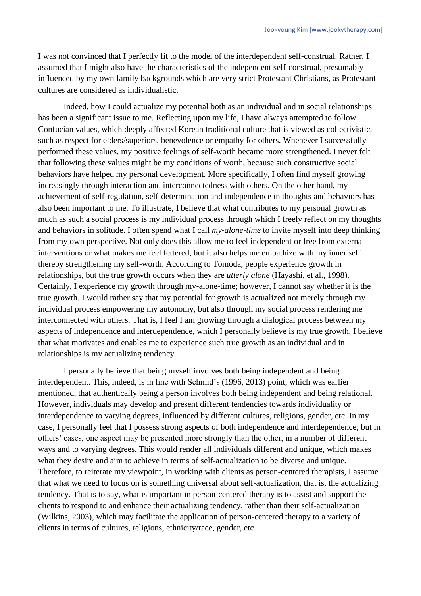I was not convinced that I perfectly fit to the model of the interdependent self-construal. Rather, I assumed that I might also have the characteristics of the independent self-construal, presumably influenced by my own family backgrounds which are very strict Protestant Christians, as Protestant cultures are considered as individualistic.

Indeed, how I could actualize my potential both as an individual and in social relationships has been a significant issue to me. Reflecting upon my life, I have always attempted to follow Confucian values, which deeply affected Korean traditional culture that is viewed as collectivistic, such as respect for elders/superiors, benevolence or empathy for others. Whenever I successfully performed these values, my positive feelings of self-worth became more strengthened. I never felt that following these values might be my conditions of worth, because such constructive social behaviors have helped my personal development. More specifically, I often find myself growing increasingly through interaction and interconnectedness with others. On the other hand, my achievement of self-regulation, self-determination and independence in thoughts and behaviors has also been important to me. To illustrate, I believe that what contributes to my personal growth as much as such a social process is my individual process through which I freely reflect on my thoughts and behaviors in solitude. I often spend what I call *my-alone-time* to invite myself into deep thinking from my own perspective. Not only does this allow me to feel independent or free from external interventions or what makes me feel fettered, but it also helps me empathize with my inner self thereby strengthening my self-worth. According to Tomoda, people experience growth in relationships, but the true growth occurs when they are *utterly alone* (Hayashi, et al., 1998). Certainly, I experience my growth through my-alone-time; however, I cannot say whether it is the true growth. I would rather say that my potential for growth is actualized not merely through my individual process empowering my autonomy, but also through my social process rendering me interconnected with others. That is, I feel I am growing through a dialogical process between my aspects of independence and interdependence, which I personally believe is my true growth. I believe that what motivates and enables me to experience such true growth as an individual and in relationships is my actualizing tendency.

I personally believe that being myself involves both being independent and being interdependent. This, indeed, is in line with Schmid's (1996, 2013) point, which was earlier mentioned, that authentically being a person involves both being independent and being relational. However, individuals may develop and present different tendencies towards individuality or interdependence to varying degrees, influenced by different cultures, religions, gender, etc. In my case, I personally feel that I possess strong aspects of both independence and interdependence; but in others' cases, one aspect may be presented more strongly than the other, in a number of different ways and to varying degrees. This would render all individuals different and unique, which makes what they desire and aim to achieve in terms of self-actualization to be diverse and unique. Therefore, to reiterate my viewpoint, in working with clients as person-centered therapists, I assume that what we need to focus on is something universal about self-actualization, that is, the actualizing tendency. That is to say, what is important in person-centered therapy is to assist and support the clients to respond to and enhance their actualizing tendency, rather than their self-actualization (Wilkins, 2003), which may facilitate the application of person-centered therapy to a variety of clients in terms of cultures, religions, ethnicity/race, gender, etc.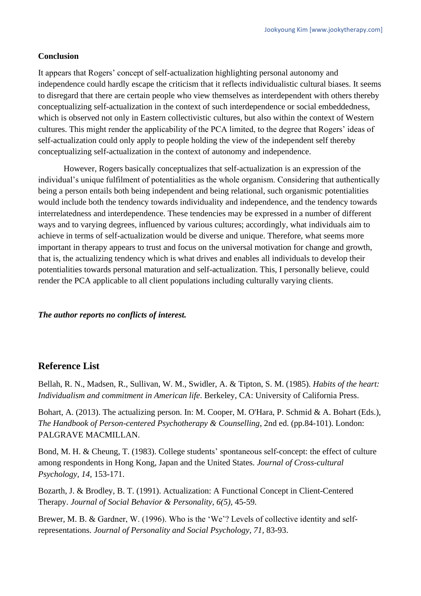## **Conclusion**

It appears that Rogers' concept of self-actualization highlighting personal autonomy and independence could hardly escape the criticism that it reflects individualistic cultural biases. It seems to disregard that there are certain people who view themselves as interdependent with others thereby conceptualizing self-actualization in the context of such interdependence or social embeddedness, which is observed not only in Eastern collectivistic cultures, but also within the context of Western cultures. This might render the applicability of the PCA limited, to the degree that Rogers' ideas of self-actualization could only apply to people holding the view of the independent self thereby conceptualizing self-actualization in the context of autonomy and independence.

However, Rogers basically conceptualizes that self-actualization is an expression of the individual's unique fulfilment of potentialities as the whole organism. Considering that authentically being a person entails both being independent and being relational, such organismic potentialities would include both the tendency towards individuality and independence, and the tendency towards interrelatedness and interdependence. These tendencies may be expressed in a number of different ways and to varying degrees, influenced by various cultures; accordingly, what individuals aim to achieve in terms of self-actualization would be diverse and unique. Therefore, what seems more important in therapy appears to trust and focus on the universal motivation for change and growth, that is, the actualizing tendency which is what drives and enables all individuals to develop their potentialities towards personal maturation and self-actualization. This, I personally believe, could render the PCA applicable to all client populations including culturally varying clients.

## *The author reports no conflicts of interest.*

# **Reference List**

Bellah, R. N., Madsen, R., Sullivan, W. M., Swidler, A. & Tipton, S. M. (1985). *Habits of the heart: Individualism and commitment in American life*. Berkeley, CA: University of California Press.

Bohart, A. (2013). The actualizing person. In: M. Cooper, M. O'Hara, P. Schmid & A. Bohart (Eds.), *The Handbook of Person-centered Psychotherapy & Counselling*, 2nd ed. (pp.84-101). London: PALGRAVE MACMILLAN.

Bond, M. H. & Cheung, T. (1983). College students' spontaneous self-concept: the effect of culture among respondents in Hong Kong, Japan and the United States. *Journal of Cross-cultural Psychology, 14,* 153-171.

Bozarth, J. & Brodley, B. T. (1991). Actualization: A Functional Concept in Client-Centered Therapy. *Journal of Social Behavior & Personality, 6(5),* 45-59.

Brewer, M. B. & Gardner, W. (1996). Who is the 'We'? Levels of collective identity and selfrepresentations. *Journal of Personality and Social Psychology, 71,* 83-93.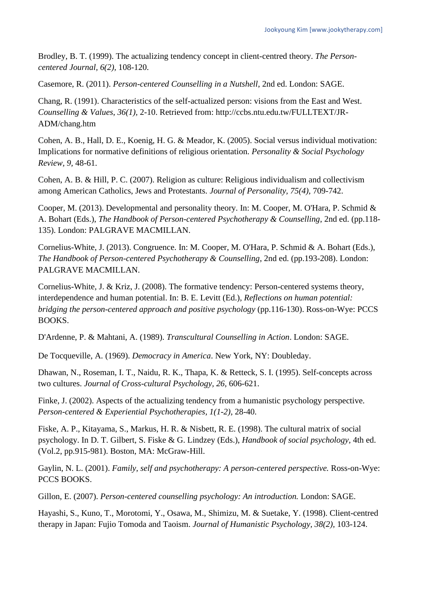Brodley, B. T. (1999). The actualizing tendency concept in client-centred theory. *The Personcentered Journal, 6(2),* 108-120.

Casemore, R. (2011). *Person-centered Counselling in a Nutshell*, 2nd ed. London: SAGE.

Chang, R. (1991). Characteristics of the self-actualized person: visions from the East and West. *Counselling & Values*, *36(1),* 2-10. Retrieved from: http://ccbs.ntu.edu.tw/FULLTEXT/JR-ADM/chang.htm

Cohen, A. B., Hall, D. E., Koenig, H. G. & Meador, K. (2005). Social versus individual motivation: Implications for normative definitions of religious orientation. *Personality & Social Psychology Review, 9,* 48-61.

Cohen, A. B. & Hill, P. C. (2007). Religion as culture: Religious individualism and collectivism among American Catholics, Jews and Protestants. *Journal of Personality, 75(4),* 709-742.

Cooper, M. (2013). Developmental and personality theory. In: M. Cooper, M. O'Hara, P. Schmid & A. Bohart (Eds.), *The Handbook of Person-centered Psychotherapy & Counselling*, 2nd ed. (pp.118- 135). London: PALGRAVE MACMILLAN.

Cornelius-White, J. (2013). Congruence. In: M. Cooper, M. O'Hara, P. Schmid & A. Bohart (Eds.), *The Handbook of Person-centered Psychotherapy & Counselling*, 2nd ed. (pp.193-208). London: PALGRAVE MACMILLAN.

Cornelius-White, J. & Kriz, J. (2008). The formative tendency: Person-centered systems theory, interdependence and human potential. In: B. E. Levitt (Ed.), *Reflections on human potential: bridging the person-centered approach and positive psychology* (pp.116-130). Ross-on-Wye: PCCS BOOKS.

D'Ardenne, P. & Mahtani, A. (1989). *Transcultural Counselling in Action*. London: SAGE.

De Tocqueville, A. (1969). *Democracy in America*. New York, NY: Doubleday.

Dhawan, N., Roseman, I. T., Naidu, R. K., Thapa, K. & Retteck, S. I. (1995). Self-concepts across two cultures. *Journal of Cross-cultural Psychology, 26,* 606-621.

Finke, J. (2002). Aspects of the actualizing tendency from a humanistic psychology perspective. *Person-centered & Experiential Psychotherapies, 1(1-2),* 28-40.

Fiske, A. P., Kitayama, S., Markus, H. R. & Nisbett, R. E. (1998). The cultural matrix of social psychology. In D. T. Gilbert, S. Fiske & G. Lindzey (Eds.), *Handbook of social psychology,* 4th ed. (Vol.2, pp.915-981). Boston, MA: McGraw-Hill.

Gaylin, N. L. (2001). *Family, self and psychotherapy: A person-centered perspective.* Ross-on-Wye: PCCS BOOKS.

Gillon, E. (2007). *Person-centered counselling psychology: An introduction.* London: SAGE.

Hayashi, S., Kuno, T., Morotomi, Y., Osawa, M., Shimizu, M. & Suetake, Y. (1998). Client-centred therapy in Japan: Fujio Tomoda and Taoism. *Journal of Humanistic Psychology, 38(2),* 103-124.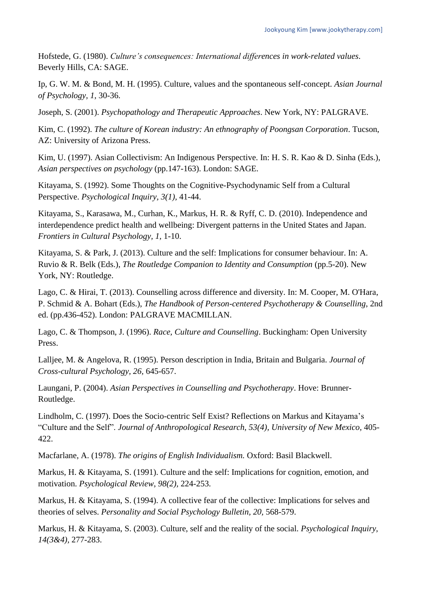Hofstede, G. (1980). *Culture's consequences: International differences in work-related values*. Beverly Hills, CA: SAGE.

Ip, G. W. M. & Bond, M. H. (1995). Culture, values and the spontaneous self-concept. *Asian Journal of Psychology, 1,* 30-36.

Joseph, S. (2001). *Psychopathology and Therapeutic Approaches*. New York, NY: PALGRAVE.

Kim, C. (1992). *The culture of Korean industry: An ethnography of Poongsan Corporation*. Tucson, AZ: University of Arizona Press.

Kim, U. (1997). Asian Collectivism: An Indigenous Perspective. In: H. S. R. Kao & D. Sinha (Eds.), *Asian perspectives on psychology* (pp.147-163). London: SAGE.

Kitayama, S. (1992). Some Thoughts on the Cognitive-Psychodynamic Self from a Cultural Perspective. *Psychological Inquiry, 3(1),* 41-44.

Kitayama, S., Karasawa, M., Curhan, K., Markus, H. R. & Ryff, C. D. (2010). Independence and interdependence predict health and wellbeing: Divergent patterns in the United States and Japan. *Frontiers in Cultural Psychology, 1,* 1-10.

Kitayama, S. & Park, J. (2013). Culture and the self: Implications for consumer behaviour. In: A. Ruvio & R. Belk (Eds.), *The Routledge Companion to Identity and Consumption* (pp.5-20). New York, NY: Routledge.

Lago, C. & Hirai, T. (2013). Counselling across difference and diversity. In: M. Cooper, M. O'Hara, P. Schmid & A. Bohart (Eds.), *The Handbook of Person-centered Psychotherapy & Counselling*, 2nd ed. (pp.436-452). London: PALGRAVE MACMILLAN.

Lago, C. & Thompson, J. (1996). *Race, Culture and Counselling*. Buckingham: Open University Press.

Lalljee, M. & Angelova, R. (1995). Person description in India, Britain and Bulgaria. *Journal of Cross-cultural Psychology, 26,* 645-657.

Laungani, P. (2004). *Asian Perspectives in Counselling and Psychotherapy*. Hove: Brunner-Routledge.

Lindholm, C. (1997). Does the Socio-centric Self Exist? Reflections on Markus and Kitayama's "Culture and the Self". *Journal of Anthropological Research, 53(4), University of New Mexico,* 405- 422.

Macfarlane, A. (1978). *The origins of English Individualism.* Oxford: Basil Blackwell.

Markus, H. & Kitayama, S. (1991). Culture and the self: Implications for cognition, emotion, and motivation. *Psychological Review*, *98(2),* 224-253.

Markus, H. & Kitayama, S. (1994). A collective fear of the collective: Implications for selves and theories of selves. *Personality and Social Psychology Bulletin, 20, 568-579.* 

Markus, H. & Kitayama, S. (2003). Culture, self and the reality of the social. *Psychological Inquiry, 14(3&4),* 277-283.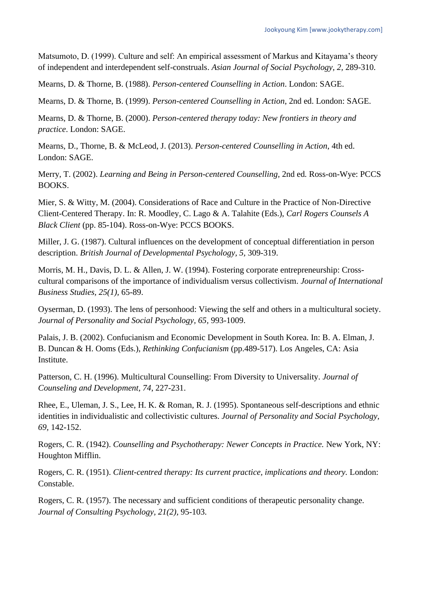Matsumoto, D. (1999). Culture and self: An empirical assessment of Markus and Kitayama's theory of independent and interdependent self-construals. *Asian Journal of Social Psychology, 2,* 289-310.

Mearns, D. & Thorne, B. (1988). *Person-centered Counselling in Action*. London: SAGE.

Mearns, D. & Thorne, B. (1999). *Person-centered Counselling in Action*, 2nd ed. London: SAGE.

Mearns, D. & Thorne, B. (2000). *Person-centered therapy today: New frontiers in theory and practice*. London: SAGE.

Mearns, D., Thorne, B. & McLeod, J. (2013). *Person-centered Counselling in Action*, 4th ed. London: SAGE.

Merry, T. (2002). *Learning and Being in Person-centered Counselling,* 2nd ed*.* Ross-on-Wye: PCCS BOOKS.

Mier, S. & Witty, M. (2004). Considerations of Race and Culture in the Practice of Non-Directive Client-Centered Therapy. In: R. Moodley, C. Lago & A. Talahite (Eds.), *Carl Rogers Counsels A Black Client* (pp. 85-104). Ross-on-Wye: PCCS BOOKS.

Miller, J. G. (1987). Cultural influences on the development of conceptual differentiation in person description. *British Journal of Developmental Psychology, 5,* 309-319.

Morris, M. H., Davis, D. L. & Allen, J. W. (1994). Fostering corporate entrepreneurship: Crosscultural comparisons of the importance of individualism versus collectivism. *Journal of International Business Studies, 25(1),* 65-89.

Oyserman, D. (1993). The lens of personhood: Viewing the self and others in a multicultural society. *Journal of Personality and Social Psychology, 65,* 993-1009.

Palais, J. B. (2002). Confucianism and Economic Development in South Korea. In: B. A. Elman, J. B. Duncan & H. Ooms (Eds.), *Rethinking Confucianism* (pp.489-517). Los Angeles, CA: Asia Institute.

Patterson, C. H. (1996). Multicultural Counselling: From Diversity to Universality. *Journal of Counseling and Development, 74*, 227-231.

Rhee, E., Uleman, J. S., Lee, H. K. & Roman, R. J. (1995). Spontaneous self-descriptions and ethnic identities in individualistic and collectivistic cultures. *Journal of Personality and Social Psychology, 69,* 142-152.

Rogers, C. R. (1942). *Counselling and Psychotherapy: Newer Concepts in Practice.* New York, NY: Houghton Mifflin.

Rogers, C. R. (1951). *Client-centred therapy: Its current practice, implications and theory.* London: Constable.

Rogers, C. R. (1957). The necessary and sufficient conditions of therapeutic personality change. *Journal of Consulting Psychology, 21(2),* 95-103.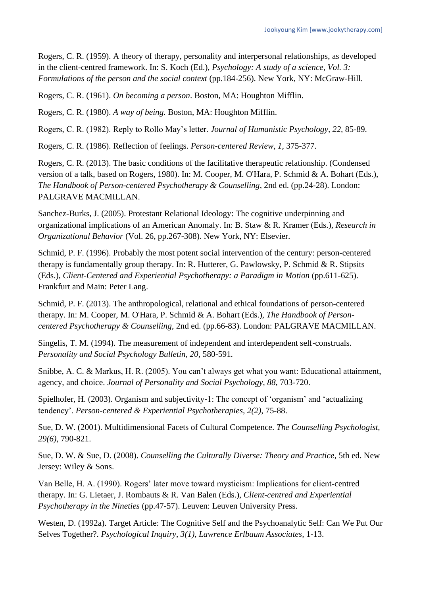Rogers, C. R. (1959). A theory of therapy, personality and interpersonal relationships, as developed in the client-centred framework. In: S. Koch (Ed.), *Psychology: A study of a science, Vol. 3: Formulations of the person and the social context* (pp.184-256). New York, NY: McGraw-Hill.

Rogers, C. R. (1961). *On becoming a person*. Boston, MA: Houghton Mifflin.

Rogers, C. R. (1980). *A way of being.* Boston, MA: Houghton Mifflin.

Rogers, C. R. (1982). Reply to Rollo May's letter. *Journal of Humanistic Psychology, 22,* 85-89.

Rogers, C. R. (1986). Reflection of feelings. *Person-centered Review, 1,* 375-377.

Rogers, C. R. (2013). The basic conditions of the facilitative therapeutic relationship. (Condensed version of a talk, based on Rogers, 1980). In: M. Cooper, M. O'Hara, P. Schmid & A. Bohart (Eds.), *The Handbook of Person-centered Psychotherapy & Counselling*, 2nd ed. (pp.24-28). London: PALGRAVE MACMILLAN.

Sanchez-Burks, J. (2005). Protestant Relational Ideology: The cognitive underpinning and organizational implications of an American Anomaly. In: B. Staw & R. Kramer (Eds.), *Research in Organizational Behavior* (Vol. 26, pp.267-308). New York, NY: Elsevier.

Schmid, P. F. (1996). Probably the most potent social intervention of the century: person-centered therapy is fundamentally group therapy. In: R. Hutterer, G. Pawlowsky, P. Schmid & R. Stipsits (Eds.), *Client-Centered and Experiential Psychotherapy: a Paradigm in Motion* (pp.611-625). Frankfurt and Main: Peter Lang.

Schmid, P. F. (2013). The anthropological, relational and ethical foundations of person-centered therapy. In: M. Cooper, M. O'Hara, P. Schmid & A. Bohart (Eds.), *The Handbook of Personcentered Psychotherapy & Counselling*, 2nd ed. (pp.66-83). London: PALGRAVE MACMILLAN.

Singelis, T. M. (1994). The measurement of independent and interdependent self-construals. *Personality and Social Psychology Bulletin, 20, 580-591.* 

Snibbe, A. C. & Markus, H. R. (2005). You can't always get what you want: Educational attainment, agency, and choice. *Journal of Personality and Social Psychology, 88,* 703-720.

Spielhofer, H. (2003). Organism and subjectivity-1: The concept of 'organism' and 'actualizing tendency'. *Person-centered & Experiential Psychotherapies, 2(2),* 75-88.

Sue, D. W. (2001). Multidimensional Facets of Cultural Competence. *The Counselling Psychologist, 29(6),* 790-821.

Sue, D. W. & Sue, D. (2008). *Counselling the Culturally Diverse: Theory and Practice*, 5th ed. New Jersey: Wiley & Sons.

Van Belle, H. A. (1990). Rogers' later move toward mysticism: Implications for client-centred therapy. In: G. Lietaer, J. Rombauts & R. Van Balen (Eds.), *Client-centred and Experiential Psychotherapy in the Nineties* (pp.47-57). Leuven: Leuven University Press.

Westen, D. (1992a). Target Article: The Cognitive Self and the Psychoanalytic Self: Can We Put Our Selves Together?. *Psychological Inquiry*, *3(1), Lawrence Erlbaum Associates,* 1-13.